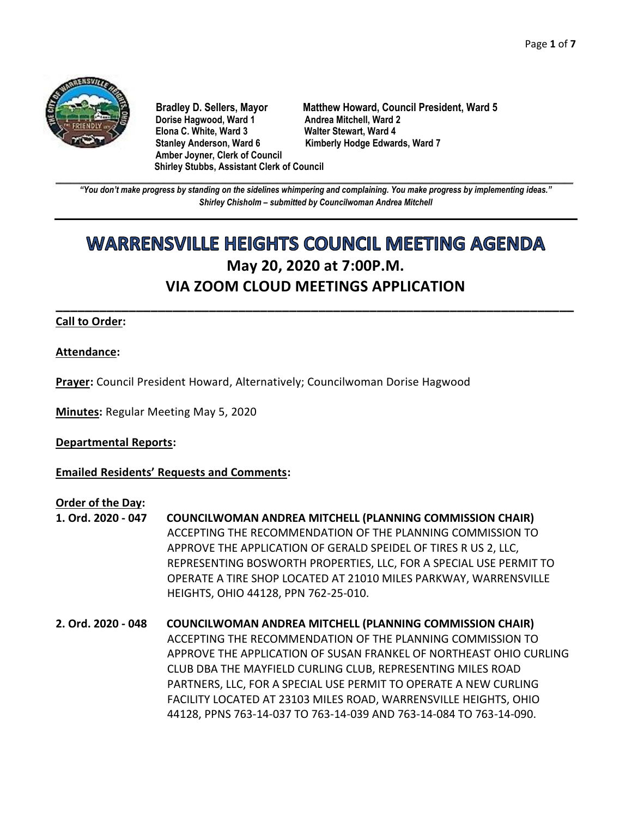

**Dorise Hagwood, Ward 1 Elona C. White, Ward 3 Walter Stewart, Ward 4** Stanley Anderson, Ward 6 Kimberly Hodge Edwards, Ward 7 **Amber Joyner, Clerk of Council Shirley Stubbs, Assistant Clerk of Council**

**Bradley D. Sellers, Mayor Matthew Howard, Council President, Ward 5**

**\_\_\_\_\_\_\_\_\_\_\_\_\_\_\_\_\_\_\_\_\_\_\_\_\_\_\_\_\_\_\_\_\_\_\_\_\_\_\_\_\_\_\_\_\_\_\_\_\_\_\_\_\_\_\_\_\_\_\_\_\_\_\_\_\_\_\_\_\_\_\_\_\_\_\_\_\_\_\_\_\_\_\_\_\_\_\_\_\_\_\_\_\_\_\_\_\_\_\_\_\_\_\_\_\_\_\_\_\_\_** *"You don't make progress by standing on the sidelines whimpering and complaining. You make progress by implementing ideas." Shirley Chisholm – submitted by Councilwoman Andrea Mitchell*

# **WARRENSVILLE HEIGHTS COUNCIL MEETING AGENDA May 20, 2020 at 7:00P.M. VIA ZOOM CLOUD MEETINGS APPLICATION**

**\_\_\_\_\_\_\_\_\_\_\_\_\_\_\_\_\_\_\_\_\_\_\_\_\_\_\_\_\_\_\_\_\_\_\_\_\_\_\_\_\_\_\_\_\_\_\_\_\_\_\_\_\_\_\_\_\_\_\_\_\_\_\_\_\_\_\_\_\_\_\_**

## **Call to Order:**

## **Attendance:**

**Prayer:** Council President Howard, Alternatively; Councilwoman Dorise Hagwood

**Minutes:** Regular Meeting May 5, 2020

**Departmental Reports:**

**Emailed Residents' Requests and Comments:**

#### **Order of the Day:**

- **1. Ord. 2020 - 047 COUNCILWOMAN ANDREA MITCHELL (PLANNING COMMISSION CHAIR)** ACCEPTING THE RECOMMENDATION OF THE PLANNING COMMISSION TO APPROVE THE APPLICATION OF GERALD SPEIDEL OF TIRES R US 2, LLC, REPRESENTING BOSWORTH PROPERTIES, LLC, FOR A SPECIAL USE PERMIT TO OPERATE A TIRE SHOP LOCATED AT 21010 MILES PARKWAY, WARRENSVILLE HEIGHTS, OHIO 44128, PPN 762-25-010.
- **2. Ord. 2020 - 048 COUNCILWOMAN ANDREA MITCHELL (PLANNING COMMISSION CHAIR)** ACCEPTING THE RECOMMENDATION OF THE PLANNING COMMISSION TO APPROVE THE APPLICATION OF SUSAN FRANKEL OF NORTHEAST OHIO CURLING CLUB DBA THE MAYFIELD CURLING CLUB, REPRESENTING MILES ROAD PARTNERS, LLC, FOR A SPECIAL USE PERMIT TO OPERATE A NEW CURLING FACILITY LOCATED AT 23103 MILES ROAD, WARRENSVILLE HEIGHTS, OHIO 44128, PPNS 763-14-037 TO 763-14-039 AND 763-14-084 TO 763-14-090.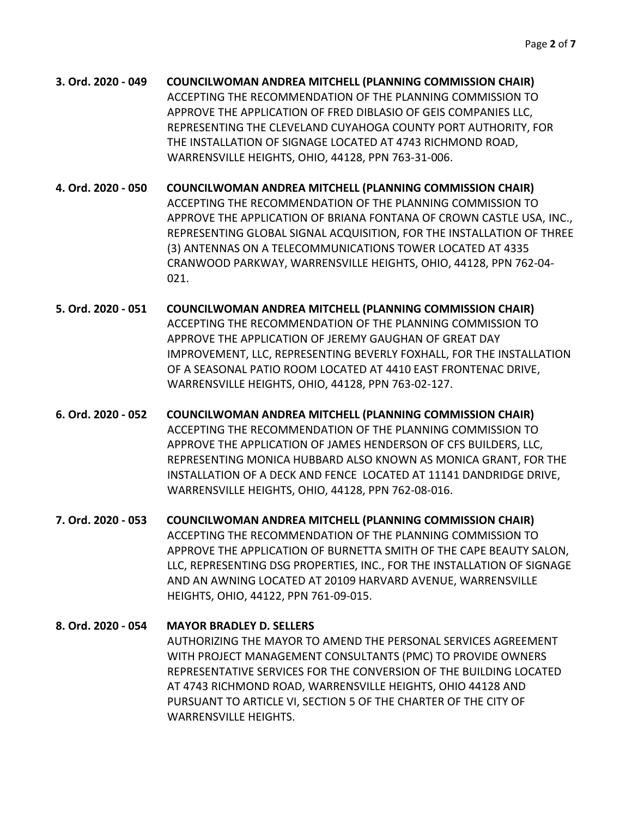**3. Ord. 2020 - 049 COUNCILWOMAN ANDREA MITCHELL (PLANNING COMMISSION CHAIR)** ACCEPTING THE RECOMMENDATION OF THE PLANNING COMMISSION TO APPROVE THE APPLICATION OF FRED DIBLASIO OF GEIS COMPANIES LLC, REPRESENTING THE CLEVELAND CUYAHOGA COUNTY PORT AUTHORITY, FOR THE INSTALLATION OF SIGNAGE LOCATED AT 4743 RICHMOND ROAD, WARRENSVILLE HEIGHTS, OHIO, 44128, PPN 763-31-006.

**4. Ord. 2020 - 050 COUNCILWOMAN ANDREA MITCHELL (PLANNING COMMISSION CHAIR)** ACCEPTING THE RECOMMENDATION OF THE PLANNING COMMISSION TO APPROVE THE APPLICATION OF BRIANA FONTANA OF CROWN CASTLE USA, INC., REPRESENTING GLOBAL SIGNAL ACQUISITION, FOR THE INSTALLATION OF THREE (3) ANTENNAS ON A TELECOMMUNICATIONS TOWER LOCATED AT 4335 CRANWOOD PARKWAY, WARRENSVILLE HEIGHTS, OHIO, 44128, PPN 762-04- 021.

- **5. Ord. 2020 - 051 COUNCILWOMAN ANDREA MITCHELL (PLANNING COMMISSION CHAIR)** ACCEPTING THE RECOMMENDATION OF THE PLANNING COMMISSION TO APPROVE THE APPLICATION OF JEREMY GAUGHAN OF GREAT DAY IMPROVEMENT, LLC, REPRESENTING BEVERLY FOXHALL, FOR THE INSTALLATION OF A SEASONAL PATIO ROOM LOCATED AT 4410 EAST FRONTENAC DRIVE, WARRENSVILLE HEIGHTS, OHIO, 44128, PPN 763-02-127.
- **6. Ord. 2020 - 052 COUNCILWOMAN ANDREA MITCHELL (PLANNING COMMISSION CHAIR)** ACCEPTING THE RECOMMENDATION OF THE PLANNING COMMISSION TO APPROVE THE APPLICATION OF JAMES HENDERSON OF CFS BUILDERS, LLC, REPRESENTING MONICA HUBBARD ALSO KNOWN AS MONICA GRANT, FOR THE INSTALLATION OF A DECK AND FENCE LOCATED AT 11141 DANDRIDGE DRIVE, WARRENSVILLE HEIGHTS, OHIO, 44128, PPN 762-08-016.

**7. Ord. 2020 - 053 COUNCILWOMAN ANDREA MITCHELL (PLANNING COMMISSION CHAIR)** ACCEPTING THE RECOMMENDATION OF THE PLANNING COMMISSION TO APPROVE THE APPLICATION OF BURNETTA SMITH OF THE CAPE BEAUTY SALON, LLC, REPRESENTING DSG PROPERTIES, INC., FOR THE INSTALLATION OF SIGNAGE AND AN AWNING LOCATED AT 20109 HARVARD AVENUE, WARRENSVILLE HEIGHTS, OHIO, 44122, PPN 761-09-015.

# **8. Ord. 2020 - 054 MAYOR BRADLEY D. SELLERS** AUTHORIZING THE MAYOR TO AMEND THE PERSONAL SERVICES AGREEMENT WITH PROJECT MANAGEMENT CONSULTANTS (PMC) TO PROVIDE OWNERS REPRESENTATIVE SERVICES FOR THE CONVERSION OF THE BUILDING LOCATED AT 4743 RICHMOND ROAD, WARRENSVILLE HEIGHTS, OHIO 44128 AND PURSUANT TO ARTICLE VI, SECTION 5 OF THE CHARTER OF THE CITY OF WARRENSVILLE HEIGHTS.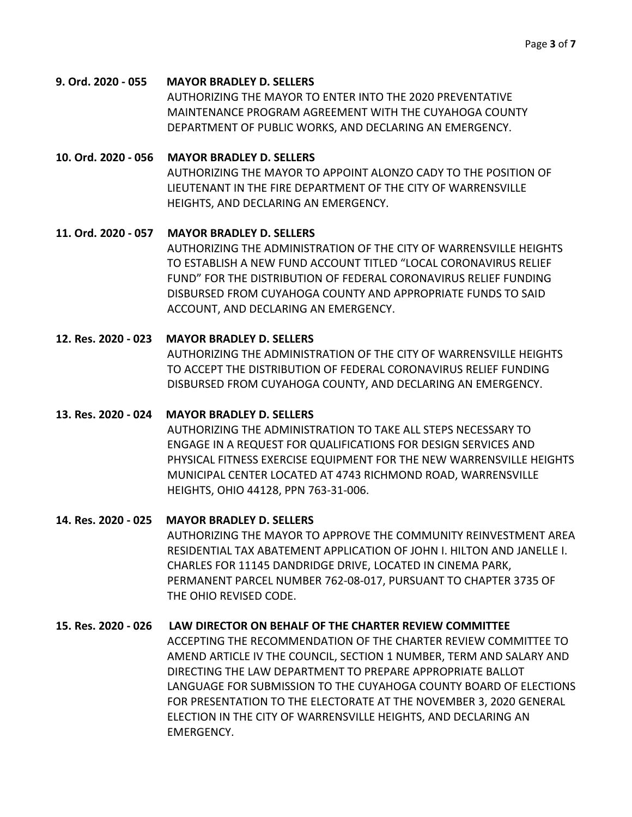#### **9. Ord. 2020 - 055 MAYOR BRADLEY D. SELLERS**

AUTHORIZING THE MAYOR TO ENTER INTO THE 2020 PREVENTATIVE MAINTENANCE PROGRAM AGREEMENT WITH THE CUYAHOGA COUNTY DEPARTMENT OF PUBLIC WORKS, AND DECLARING AN EMERGENCY.

### **10. Ord. 2020 - 056 MAYOR BRADLEY D. SELLERS**

AUTHORIZING THE MAYOR TO APPOINT ALONZO CADY TO THE POSITION OF LIEUTENANT IN THE FIRE DEPARTMENT OF THE CITY OF WARRENSVILLE HEIGHTS, AND DECLARING AN EMERGENCY.

## **11. Ord. 2020 - 057 MAYOR BRADLEY D. SELLERS**

AUTHORIZING THE ADMINISTRATION OF THE CITY OF WARRENSVILLE HEIGHTS TO ESTABLISH A NEW FUND ACCOUNT TITLED "LOCAL CORONAVIRUS RELIEF FUND" FOR THE DISTRIBUTION OF FEDERAL CORONAVIRUS RELIEF FUNDING DISBURSED FROM CUYAHOGA COUNTY AND APPROPRIATE FUNDS TO SAID ACCOUNT, AND DECLARING AN EMERGENCY.

## **12. Res. 2020 - 023 MAYOR BRADLEY D. SELLERS**

AUTHORIZING THE ADMINISTRATION OF THE CITY OF WARRENSVILLE HEIGHTS TO ACCEPT THE DISTRIBUTION OF FEDERAL CORONAVIRUS RELIEF FUNDING DISBURSED FROM CUYAHOGA COUNTY, AND DECLARING AN EMERGENCY.

### **13. Res. 2020 - 024 MAYOR BRADLEY D. SELLERS**

AUTHORIZING THE ADMINISTRATION TO TAKE ALL STEPS NECESSARY TO ENGAGE IN A REQUEST FOR QUALIFICATIONS FOR DESIGN SERVICES AND PHYSICAL FITNESS EXERCISE EQUIPMENT FOR THE NEW WARRENSVILLE HEIGHTS MUNICIPAL CENTER LOCATED AT 4743 RICHMOND ROAD, WARRENSVILLE HEIGHTS, OHIO 44128, PPN 763-31-006.

## **14. Res. 2020 - 025 MAYOR BRADLEY D. SELLERS**

AUTHORIZING THE MAYOR TO APPROVE THE COMMUNITY REINVESTMENT AREA RESIDENTIAL TAX ABATEMENT APPLICATION OF JOHN I. HILTON AND JANELLE I. CHARLES FOR 11145 DANDRIDGE DRIVE, LOCATED IN CINEMA PARK, PERMANENT PARCEL NUMBER 762-08-017, PURSUANT TO CHAPTER 3735 OF THE OHIO REVISED CODE.

## **15. Res. 2020 - 026 LAW DIRECTOR ON BEHALF OF THE CHARTER REVIEW COMMITTEE**

ACCEPTING THE RECOMMENDATION OF THE CHARTER REVIEW COMMITTEE TO AMEND ARTICLE IV THE COUNCIL, SECTION 1 NUMBER, TERM AND SALARY AND DIRECTING THE LAW DEPARTMENT TO PREPARE APPROPRIATE BALLOT LANGUAGE FOR SUBMISSION TO THE CUYAHOGA COUNTY BOARD OF ELECTIONS FOR PRESENTATION TO THE ELECTORATE AT THE NOVEMBER 3, 2020 GENERAL ELECTION IN THE CITY OF WARRENSVILLE HEIGHTS, AND DECLARING AN EMERGENCY.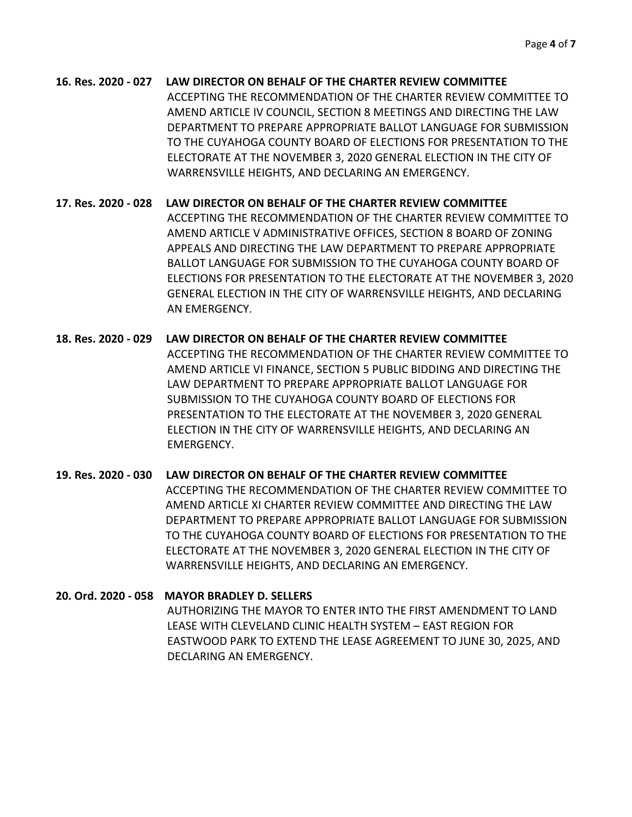## **16. Res. 2020 - 027 LAW DIRECTOR ON BEHALF OF THE CHARTER REVIEW COMMITTEE**

ACCEPTING THE RECOMMENDATION OF THE CHARTER REVIEW COMMITTEE TO AMEND ARTICLE IV COUNCIL, SECTION 8 MEETINGS AND DIRECTING THE LAW DEPARTMENT TO PREPARE APPROPRIATE BALLOT LANGUAGE FOR SUBMISSION TO THE CUYAHOGA COUNTY BOARD OF ELECTIONS FOR PRESENTATION TO THE ELECTORATE AT THE NOVEMBER 3, 2020 GENERAL ELECTION IN THE CITY OF WARRENSVILLE HEIGHTS, AND DECLARING AN EMERGENCY.

**17. Res. 2020 - 028 LAW DIRECTOR ON BEHALF OF THE CHARTER REVIEW COMMITTEE**  ACCEPTING THE RECOMMENDATION OF THE CHARTER REVIEW COMMITTEE TO AMEND ARTICLE V ADMINISTRATIVE OFFICES, SECTION 8 BOARD OF ZONING APPEALS AND DIRECTING THE LAW DEPARTMENT TO PREPARE APPROPRIATE BALLOT LANGUAGE FOR SUBMISSION TO THE CUYAHOGA COUNTY BOARD OF ELECTIONS FOR PRESENTATION TO THE ELECTORATE AT THE NOVEMBER 3, 2020 GENERAL ELECTION IN THE CITY OF WARRENSVILLE HEIGHTS, AND DECLARING AN EMERGENCY.

**18. Res. 2020 - 029 LAW DIRECTOR ON BEHALF OF THE CHARTER REVIEW COMMITTEE**  ACCEPTING THE RECOMMENDATION OF THE CHARTER REVIEW COMMITTEE TO AMEND ARTICLE VI FINANCE, SECTION 5 PUBLIC BIDDING AND DIRECTING THE LAW DEPARTMENT TO PREPARE APPROPRIATE BALLOT LANGUAGE FOR SUBMISSION TO THE CUYAHOGA COUNTY BOARD OF ELECTIONS FOR PRESENTATION TO THE ELECTORATE AT THE NOVEMBER 3, 2020 GENERAL ELECTION IN THE CITY OF WARRENSVILLE HEIGHTS, AND DECLARING AN EMERGENCY.

**19. Res. 2020 - 030 LAW DIRECTOR ON BEHALF OF THE CHARTER REVIEW COMMITTEE**  ACCEPTING THE RECOMMENDATION OF THE CHARTER REVIEW COMMITTEE TO AMEND ARTICLE XI CHARTER REVIEW COMMITTEE AND DIRECTING THE LAW DEPARTMENT TO PREPARE APPROPRIATE BALLOT LANGUAGE FOR SUBMISSION TO THE CUYAHOGA COUNTY BOARD OF ELECTIONS FOR PRESENTATION TO THE ELECTORATE AT THE NOVEMBER 3, 2020 GENERAL ELECTION IN THE CITY OF WARRENSVILLE HEIGHTS, AND DECLARING AN EMERGENCY.

## **20. Ord. 2020 - 058 MAYOR BRADLEY D. SELLERS**

AUTHORIZING THE MAYOR TO ENTER INTO THE FIRST AMENDMENT TO LAND LEASE WITH CLEVELAND CLINIC HEALTH SYSTEM – EAST REGION FOR EASTWOOD PARK TO EXTEND THE LEASE AGREEMENT TO JUNE 30, 2025, AND DECLARING AN EMERGENCY.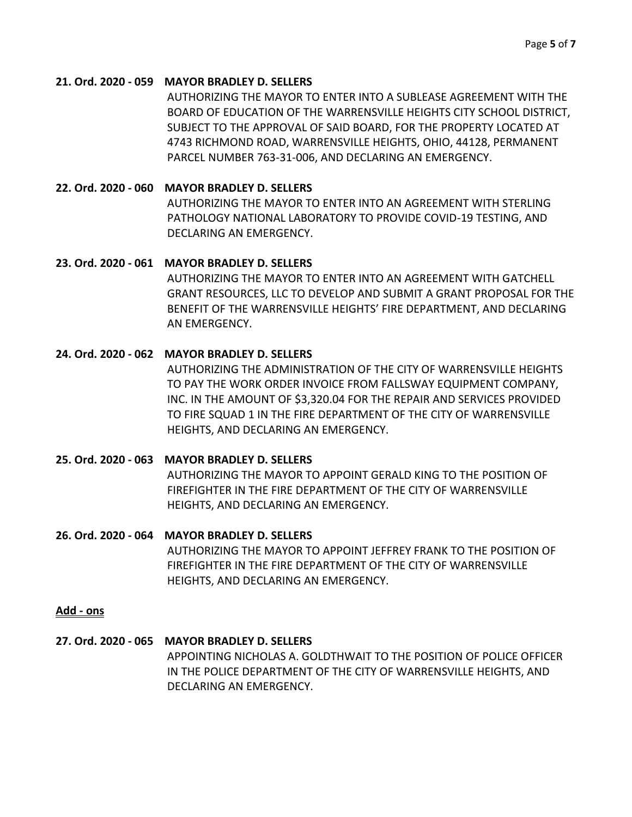#### **21. Ord. 2020 - 059 MAYOR BRADLEY D. SELLERS**

AUTHORIZING THE MAYOR TO ENTER INTO A SUBLEASE AGREEMENT WITH THE BOARD OF EDUCATION OF THE WARRENSVILLE HEIGHTS CITY SCHOOL DISTRICT, SUBJECT TO THE APPROVAL OF SAID BOARD, FOR THE PROPERTY LOCATED AT 4743 RICHMOND ROAD, WARRENSVILLE HEIGHTS, OHIO, 44128, PERMANENT PARCEL NUMBER 763-31-006, AND DECLARING AN EMERGENCY.

### **22. Ord. 2020 - 060 MAYOR BRADLEY D. SELLERS**

AUTHORIZING THE MAYOR TO ENTER INTO AN AGREEMENT WITH STERLING PATHOLOGY NATIONAL LABORATORY TO PROVIDE COVID-19 TESTING, AND DECLARING AN EMERGENCY.

#### **23. Ord. 2020 - 061 MAYOR BRADLEY D. SELLERS**

AUTHORIZING THE MAYOR TO ENTER INTO AN AGREEMENT WITH GATCHELL GRANT RESOURCES, LLC TO DEVELOP AND SUBMIT A GRANT PROPOSAL FOR THE BENEFIT OF THE WARRENSVILLE HEIGHTS' FIRE DEPARTMENT, AND DECLARING AN EMERGENCY.

## **24. Ord. 2020 - 062 MAYOR BRADLEY D. SELLERS**

AUTHORIZING THE ADMINISTRATION OF THE CITY OF WARRENSVILLE HEIGHTS TO PAY THE WORK ORDER INVOICE FROM FALLSWAY EQUIPMENT COMPANY, INC. IN THE AMOUNT OF \$3,320.04 FOR THE REPAIR AND SERVICES PROVIDED TO FIRE SQUAD 1 IN THE FIRE DEPARTMENT OF THE CITY OF WARRENSVILLE HEIGHTS, AND DECLARING AN EMERGENCY.

#### **25. Ord. 2020 - 063 MAYOR BRADLEY D. SELLERS**

AUTHORIZING THE MAYOR TO APPOINT GERALD KING TO THE POSITION OF FIREFIGHTER IN THE FIRE DEPARTMENT OF THE CITY OF WARRENSVILLE HEIGHTS, AND DECLARING AN EMERGENCY.

#### **26. Ord. 2020 - 064 MAYOR BRADLEY D. SELLERS**

AUTHORIZING THE MAYOR TO APPOINT JEFFREY FRANK TO THE POSITION OF FIREFIGHTER IN THE FIRE DEPARTMENT OF THE CITY OF WARRENSVILLE HEIGHTS, AND DECLARING AN EMERGENCY.

#### **Add - ons**

## **27. Ord. 2020 - 065 MAYOR BRADLEY D. SELLERS**

APPOINTING NICHOLAS A. GOLDTHWAIT TO THE POSITION OF POLICE OFFICER IN THE POLICE DEPARTMENT OF THE CITY OF WARRENSVILLE HEIGHTS, AND DECLARING AN EMERGENCY.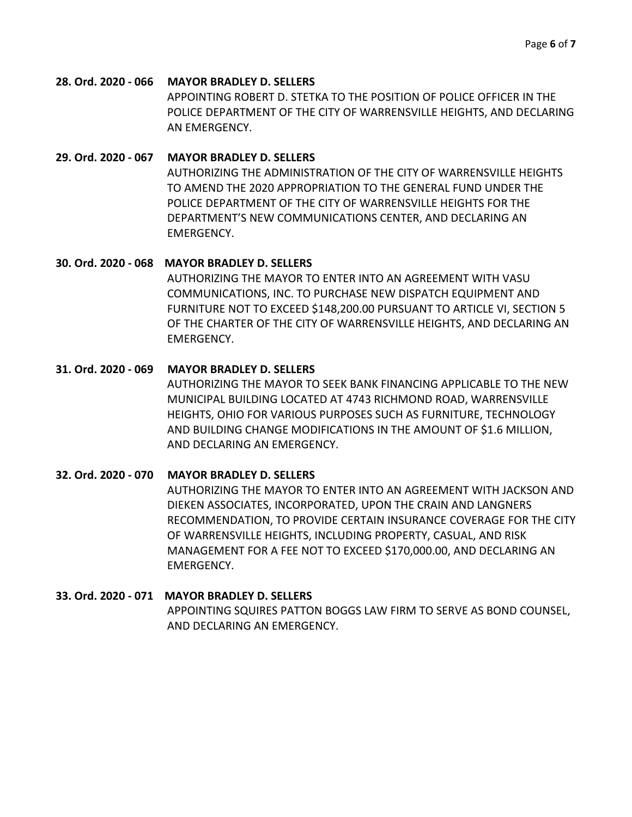**28. Ord. 2020 - 066 MAYOR BRADLEY D. SELLERS** APPOINTING ROBERT D. STETKA TO THE POSITION OF POLICE OFFICER IN THE POLICE DEPARTMENT OF THE CITY OF WARRENSVILLE HEIGHTS, AND DECLARING AN EMERGENCY.

#### **29. Ord. 2020 - 067 MAYOR BRADLEY D. SELLERS**

AUTHORIZING THE ADMINISTRATION OF THE CITY OF WARRENSVILLE HEIGHTS TO AMEND THE 2020 APPROPRIATION TO THE GENERAL FUND UNDER THE POLICE DEPARTMENT OF THE CITY OF WARRENSVILLE HEIGHTS FOR THE DEPARTMENT'S NEW COMMUNICATIONS CENTER, AND DECLARING AN EMERGENCY.

#### **30. Ord. 2020 - 068 MAYOR BRADLEY D. SELLERS**

AUTHORIZING THE MAYOR TO ENTER INTO AN AGREEMENT WITH VASU COMMUNICATIONS, INC. TO PURCHASE NEW DISPATCH EQUIPMENT AND FURNITURE NOT TO EXCEED \$148,200.00 PURSUANT TO ARTICLE VI, SECTION 5 OF THE CHARTER OF THE CITY OF WARRENSVILLE HEIGHTS, AND DECLARING AN EMERGENCY.

#### **31. Ord. 2020 - 069 MAYOR BRADLEY D. SELLERS**

AUTHORIZING THE MAYOR TO SEEK BANK FINANCING APPLICABLE TO THE NEW MUNICIPAL BUILDING LOCATED AT 4743 RICHMOND ROAD, WARRENSVILLE HEIGHTS, OHIO FOR VARIOUS PURPOSES SUCH AS FURNITURE, TECHNOLOGY AND BUILDING CHANGE MODIFICATIONS IN THE AMOUNT OF \$1.6 MILLION, AND DECLARING AN EMERGENCY.

#### **32. Ord. 2020 - 070 MAYOR BRADLEY D. SELLERS**

AUTHORIZING THE MAYOR TO ENTER INTO AN AGREEMENT WITH JACKSON AND DIEKEN ASSOCIATES, INCORPORATED, UPON THE CRAIN AND LANGNERS RECOMMENDATION, TO PROVIDE CERTAIN INSURANCE COVERAGE FOR THE CITY OF WARRENSVILLE HEIGHTS, INCLUDING PROPERTY, CASUAL, AND RISK MANAGEMENT FOR A FEE NOT TO EXCEED \$170,000.00, AND DECLARING AN EMERGENCY.

#### **33. Ord. 2020 - 071 MAYOR BRADLEY D. SELLERS**

APPOINTING SQUIRES PATTON BOGGS LAW FIRM TO SERVE AS BOND COUNSEL, AND DECLARING AN EMERGENCY.